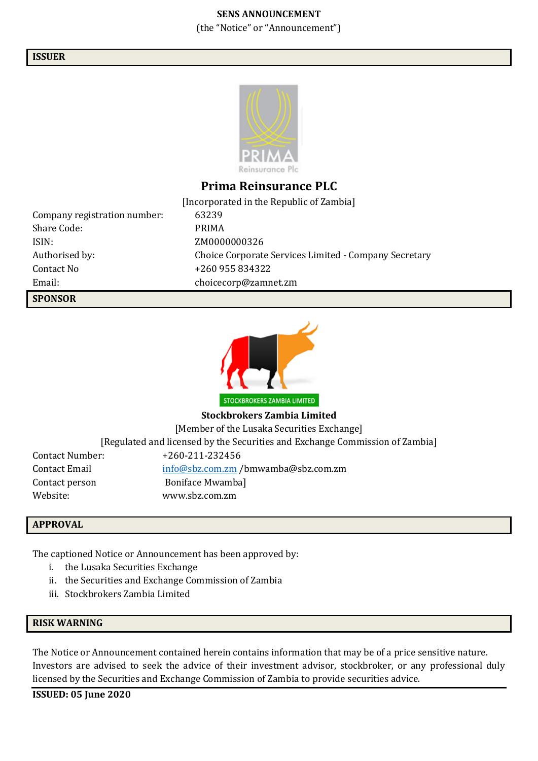#### **SENS ANNOUNCEMENT**

(the "Notice" or "Announcement")

#### **ISSUER**



### **Prima Reinsurance PLC**

[Incorporated in the Republic of Zambia] Company registration number: 63239 Share Code: PRIMA ISIN: ZM0000000326 Authorised by: Choice Corporate Services Limited - Company Secretary Contact No  $+260955834322$ Email: choicecorp@zamnet.zm

STOCKBROKERS ZAMBIA LIMITED

**Stockbrokers Zambia Limited**

[Member of the Lusaka Securities Exchange]

[Regulated and licensed by the Securities and Exchange Commission of Zambia]

| Contact Number: | +260-211-232456                  |
|-----------------|----------------------------------|
| Contact Email   | info@sbz.comzm/bmwanba@sbz.comzm |
| Contact person  | Boniface Mwamba]                 |
| Website: .      | www.sbz.com.zm                   |

#### **APPROVAL**

**SPONSOR**

The captioned Notice or Announcement has been approved by:

- i. the Lusaka Securities Exchange
- ii. the Securities and Exchange Commission of Zambia
- iii. Stockbrokers Zambia Limited

### **RISK WARNING**

The Notice or Announcement contained herein contains information that may be of a price sensitive nature. Investors are advised to seek the advice of their investment advisor, stockbroker, or any professional duly licensed by the Securities and Exchange Commission of Zambia to provide securities advice.

**ISSUED: 05 June 2020**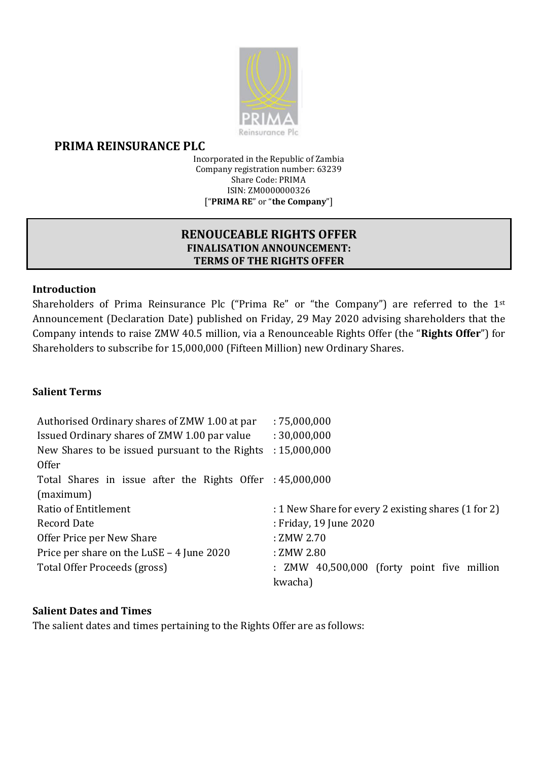

# **PRIMA REINSURANCE PLC**

Incorporated in the Republic of Zambia Company registration number: 63239 Share Code: PRIMA ISIN: ZM0000000326 ["**PRIMA RE**" or "**the Company**"]

# **RENOUCEABLE RIGHTS OFFER FINALISATION ANNOUNCEMENT: TERMS OF THE RIGHTS OFFER**

# **Introduction**

Shareholders of Prima Reinsurance Plc ("Prima Re" or "the Company") are referred to the 1<sup>st</sup> Announcement (Declaration Date) published on Friday, 29 May 2020 advising shareholders that the Company intends to raise ZMW 40.5 million, via a Renounceable Rights Offer (the "**Rights Offer**") for Shareholders to subscribe for 15,000,000 (Fifteen Million) new Ordinary Shares.

# **Salient Terms**

| Authorised Ordinary shares of ZMW 1.00 at par             | :75,000,000                                         |
|-----------------------------------------------------------|-----------------------------------------------------|
| Issued Ordinary shares of ZMW 1.00 par value              | : 30,000,000                                        |
| New Shares to be issued pursuant to the Rights            | : 15,000,000                                        |
| <b>Offer</b>                                              |                                                     |
| Total Shares in issue after the Rights Offer : 45,000,000 |                                                     |
| (maximum)                                                 |                                                     |
| Ratio of Entitlement                                      | : 1 New Share for every 2 existing shares (1 for 2) |
| <b>Record Date</b>                                        | : Friday, 19 June 2020                              |
| Offer Price per New Share                                 | : ZMW 2.70                                          |
| Price per share on the LuSE - 4 June 2020                 | : ZMW 2.80                                          |
| Total Offer Proceeds (gross)                              | : ZMW 40,500,000 (forty point five million          |
|                                                           | kwacha)                                             |

### **Salient Dates and Times**

The salient dates and times pertaining to the Rights Offer are as follows: